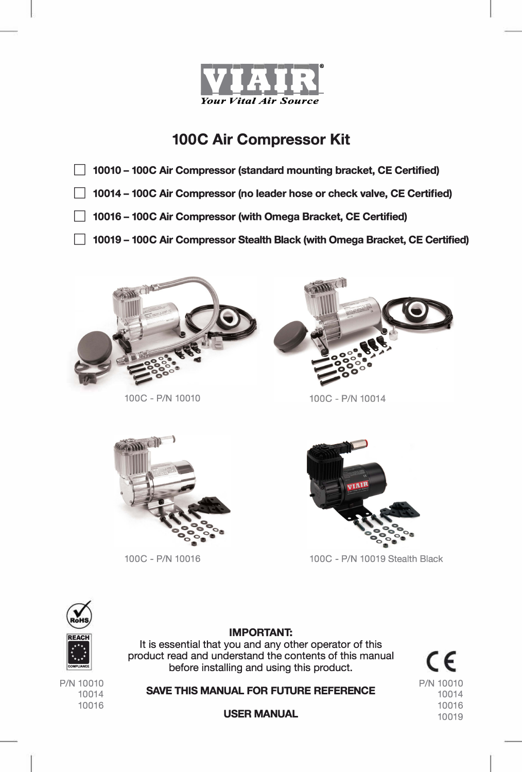

- D **10010 -100C Air Compressor (standard mounting bracket, CE Certified)**
- D **10014 -100C Air Compressor (no leader hose or check valve, CE Certified)**
- 10016 100C Air Compressor (with Omega Bracket, CE Certified)
- 10019 100C Air Compressor Stealth Black (with Omega Bracket, CE Certified)



100C - P/N 10010



100C - P/N 10014





100C - P/N 10016 100C - P/N 10019 Stealth Black





P/N 10010 10014 10016

**IMPORTANT:**  It is essential that you and any other operator of this product read and understand the contents of this manual before installing and using this product.

**SAVE THIS MANUAL FOR FUTURE REFERENCE** 

**USER MANUAL**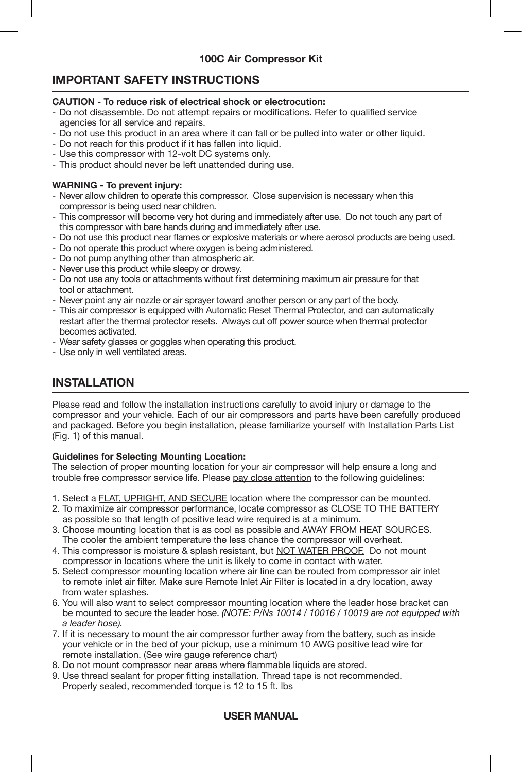# **IMPORTANT SAFETY INSTRUCTIONS**

## **CAUTION - To reduce risk of electrical shock or electrocution:**

- Do not disassemble. Do not attempt repairs or modifications. Refer to qualified service agencies for all service and repairs.
- Do not use this product in an area where it can fall or be pulled into water or other liquid.
- Do not reach for this product if it has fallen into liquid.
- Use this compressor with 12-volt DC systems only.
- This product should never be left unattended during use.

## **WARNING - To prevent injury:**

- Never allow children to operate this compressor. Close supervision is necessary when this compressor is being used near children.
- This compressor will become very hot during and immediately after use. Do not touch any part of this compressor with bare hands during and immediately after use.
- Do not use this product near flames or explosive materials or where aerosol products are being used.
- Do not operate this product where oxygen is being administered.
- Do not pump anything other than atmospheric air.
- Never use this product while sleepy or drowsy.
- Do not use any tools or attachments without first determining maximum air pressure for that tool or attachment.
- Never point any air nozzle or air sprayer toward another person or any part of the body.
- This air compressor is equipped with Automatic Reset Thermal Protector, and can automatically restart after the thermal protector resets. Always cut off power source when thermal protector becomes activated.
- Wear safety glasses or goggles when operating this product.
- Use only in well ventilated areas.

# **INSTALLATION**

Please read and follow the installation instructions carefully to avoid injury or damage to the compressor and your vehicle. Each of our air compressors and parts have been carefully produced and packaged. Before you begin installation, please familiarize yourself with Installation Parts List (Fig. 1) of this manual.

## **Guidelines for Selecting Mounting Location:**

The selection of proper mounting location for your air compressor will help ensure a long and trouble free compressor service life. Please pay close attention to the following guidelines:

- 1. Select a FLAT, UPRIGHT, AND SECURE location where the compressor can be mounted.
- 2. To maximize air compressor performance, locate compressor as CLOSE TO THE BATTERY as possible so that length of positive lead wire required is at a minimum.
- 3. Choose mounting location that is as cool as possible and AWAY FROM HEAT SOURCES. The cooler the ambient temperature the less chance the compressor will overheat.
- 4. This compressor is moisture & splash resistant, but NOT WATER PROOF. Do not mount compressor in locations where the unit is likely to come in contact with water.
- 5. Select compressor mounting location where air line can be routed from compressor air inlet to remote inlet air filter. Make sure Remote Inlet Air Filter is located in a dry location, away from water splashes.
- 6. You will also want to select compressor mounting location where the leader hose bracket can be mounted to secure the leader hose. *(NOTE: P/Ns 10014 / 10016 / 10019 are not equipped with a leader hose).*
- 7. If it is necessary to mount the air compressor further away from the battery, such as inside your vehicle or in the bed of your pickup, use a minimum 10 AWG positive lead wire for remote installation. (See wire gauge reference chart)
- 8. Do not mount compressor near areas where flammable liquids are stored.
- 9. Use thread sealant for proper fitting installation. Thread tape is not recommended. Properly sealed, recommended torque is 12 to 15 ft. lbs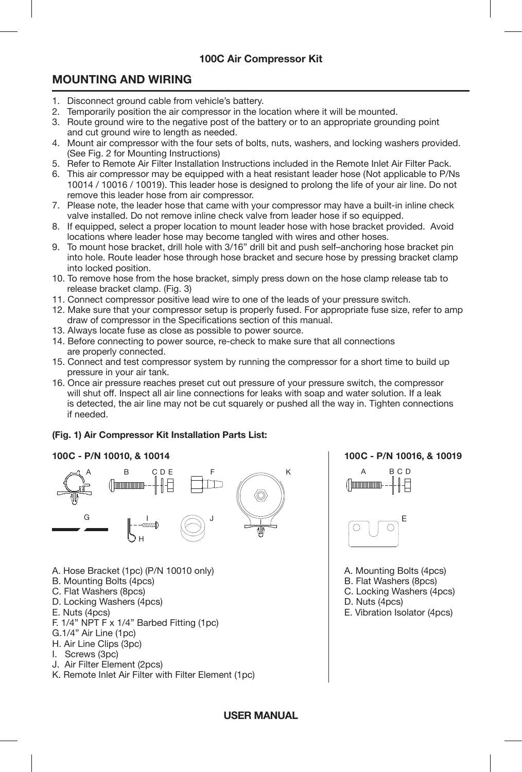# **MOUNTING AND WIRING**

- 1. Disconnect ground cable from vehicle's battery.
- 2. Temporarily position the air compressor in the location where it will be mounted.
- 3. Route ground wire to the negative post of the battery or to an appropriate grounding point and cut ground wire to length as needed.
- 4. Mount air compressor with the four sets of bolts, nuts, washers, and locking washers provided. (See Fig. 2 for Mounting Instructions)
- 5. Refer to Remote Air Filter Installation Instructions included in the Remote Inlet Air Filter Pack.
- 6. This air compressor may be equipped with a heat resistant leader hose (Not applicable to P/Ns 10014 / 10016 / 10019). This leader hose is designed to prolong the life of your air line. Do not remove this leader hose from air compressor.
- 7. Please note, the leader hose that came with your compressor may have a built-in inline check valve installed. Do not remove inline check valve from leader hose if so equipped.
- 8. If equipped, select a proper location to mount leader hose with hose bracket provided. Avoid locations where leader hose may become tangled with wires and other hoses.
- 9. To mount hose bracket, drill hole with 3/16" drill bit and push self-anchoring hose bracket pin into hole. Route leader hose through hose bracket and secure hose by pressing bracket clamp into locked position.
- 10. To remove hose from the hose bracket, simply press down on the hose clamp release tab to release bracket clamp. (Fig. 3)
- 11. Connect compressor positive lead wire to one of the leads of your pressure switch.
- 12. Make sure that your compressor setup is properly fused. For appropriate fuse size, refer to amp draw of compressor in the Specifications section of this manual.
- 13. Always locate fuse as close as possible to power source.
- 14. Before connecting to power source, re-check to make sure that all connections are properly connected.
- 15. Connect and test compressor system by running the compressor for a short time to build up pressure in your air tank.
- 16. Once air pressure reaches preset cut out pressure of your pressure switch, the compressor will shut off. Inspect all air line connections for leaks with soap and water solution. If a leak is detected, the air line may not be cut squarely or pushed all the way in. Tighten connections if needed.

# **(Fig. 1) Air Compressor Kit Installation Parts List:**

## **100C - P/N 10010, & 10014 100C - P/N 10016, & 10019**



- A. Hose Bracket (1pc) (P/N 10010 only) <br>B. Mounting Bolts (4pcs) B. Mounting Bolts (4pcs)
- B. Mounting Bolts (4pcs)<br>C. Flat Washers (8pcs)
- 
- D. Locking Washers (4pcs)<br>E. Nuts (4pcs)
- 
- F. 1/4" NPT F x 1/4" Barbed Fitting (1pc)
- G.1/4" Air Line (1pc)
- H. Air Line Clips (3pc)
- I. Screws (3pc)
- J. Air Filter Element (2pcs)
- K. Remote Inlet Air Filter with Filter Element (1pc)





- 
- 
- C. Locking Washers (4pcs)<br>D. Nuts (4pcs)
	-
	- E. Vibration Isolator (4pcs)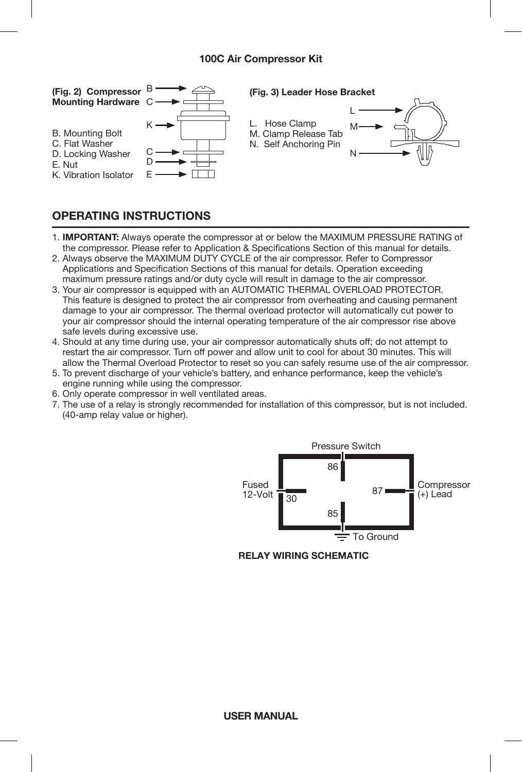

# **OPERATING INSTRUCTIONS**

- ī 1. **IMPORTANT:** Always operate the compressor at or below the MAXIMUM PRESSURE RATING of the compressor. Please refer to Application & Specifications Section of this manual for details.
- 2. Always observe the MAXIMUM DUTY CYCLE of the air compressor. Refer to Compressor Applications and Specification Sections of this manual for details. Operation exceeding maximum pressure ratings and/or duty cycle will result in damage to the air compressor.
- 3. Your air compressor is equipped with an AUTOMATIC THERMAL OVERLOAD PROTECTOR. This feature is designed to protect the air compressor from overheating and causing permanent damage to your air compressor. The thermal overload protector will automatically cut power to your air compressor should the internal operating temperature of the air compressor rise above safe levels during excessive use.
- 4. Should at any time during use, your air compressor automatically shuts off; do not attempt to restart the air compressor. Turn off power and allow unit to cool for about 30 minutes. This will allow the Thermal Overload Protector to reset so you can safely resume use of the air compressor.
- 5. To prevent discharge of your vehicle's battery, and enhance performance, keep the vehicle's engine running while using the compressor.
- 6. Only operate compressor in well ventilated areas.
- 7. The use of a relay is strongly recommended for installation of this compressor, but is not included. (40-amp relay value or higher).



**RELAY WIRING SCHEMATIC**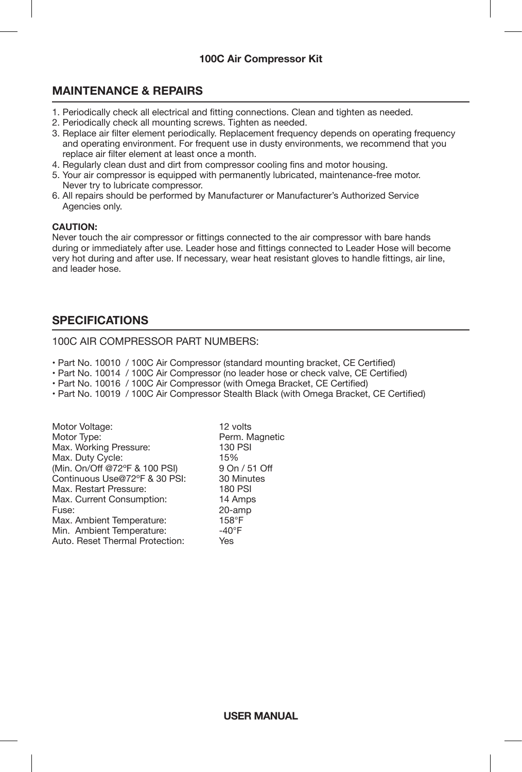# **MAINTENANCE & REPAIRS**

- 1. Periodically check all electrical and fitting connections. Clean and tighten as needed.
- 2. Periodically check all mounting screws. Tighten as needed.
- 3. Beplace air filter element periodically. Replacement frequency depends on operating frequency and operating environment. For frequent use in dusty environments, we recommend that you replace air filter element at least once a month.
- 4. Regularly clean dust and dirt from compressor cooling fins and motor housing.
- 5. Your air compressor is equipped with permanently lubricated, maintenance-free motor. Never try to lubricate compressor.
- 6. All repairs should be performed by Manufacturer or Manufacturer's Authorized Service Agencies only.

#### **CAUTION:**

Never touch the air compressor or fittings connected to the air compressor with bare hands during or immediately after use. Leader hose and fittings connected to Leader Hose will become very hot during and after use. If necessary, wear heat resistant gloves to handle fittings, air line, and leader hose.

# **SPECIFICATIONS**

#### 100C AIR COMPRESSOR PART NUMBERS:

- Part No. 10010 / 100C Air Compressor (standard mounting bracket, CE Certified)
- Part No. 10014 / 100C Air Compressor (no leader hose or check valve, CE Certified)
- Part No. 10016 / 100C Air Compressor (with Omega Bracket, CE Certified)
- Part No. 10019 / 100C Air Compressor Stealth Black (with Omega Bracket, CE Certified)

| Perm. Magnetic  |
|-----------------|
|                 |
| 130 PSI         |
| 15%             |
| 9 On / 51 Off   |
| 30 Minutes      |
| <b>180 PSI</b>  |
| 14 Amps         |
| 20-amp          |
| $158^{\circ}$ F |
| $-40^{\circ}$ F |
| Yes             |
|                 |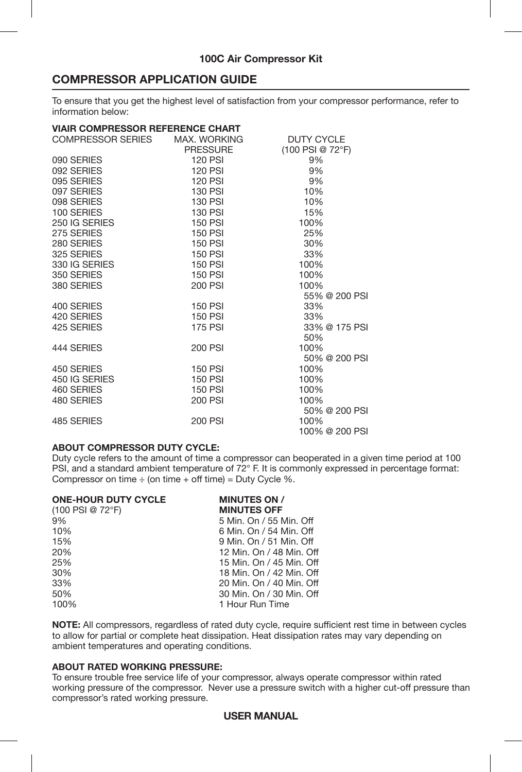# **COMPRESSOR APPLICATION GUIDE**

To ensure that you get the highest level of satisfaction from your compressor performance, refer to information below:

#### **VIAIR COMPRESSOR REFERENCE CHART**

| COMPRESSOR SERIES | MAX. WORKING   | <b>DUTY CYCLE</b> |  |  |
|-------------------|----------------|-------------------|--|--|
|                   | PRESSURE       | (100 PSI @ 72°F)  |  |  |
| 090 SERIES        | 120 PSI        | 9%                |  |  |
| 092 SERIES        | 120 PSI        | 9%                |  |  |
| 095 SERIES        | 120 PSI        | 9%                |  |  |
| 097 SERIES        | 130 PSI        | 10%               |  |  |
| 098 SERIES        | 130 PSI        | 10%               |  |  |
| 100 SERIES        | 130 PSI        | 15%               |  |  |
| 250 IG SERIES     | 150 PSI        | 100%              |  |  |
| 275 SERIES        | 150 PSI        | 25%               |  |  |
| 280 SERIES        | 150 PSI        | 30%               |  |  |
| 325 SERIES        | 150 PSI        | 33%               |  |  |
| 330 IG SERIES     | <b>150 PSI</b> | 100%              |  |  |
| 350 SERIES        | 150 PSI        | 100%              |  |  |
| 380 SERIES        | 200 PSI        | 100%              |  |  |
|                   |                | 55% @ 200 PSI     |  |  |
| 400 SERIES        | <b>150 PSI</b> | 33%               |  |  |
| 420 SERIES        | 150 PSI        | 33%               |  |  |
| 425 SERIES        | <b>175 PSI</b> | 33% @ 175 PSI     |  |  |
|                   |                | 50%               |  |  |
| 444 SERIES        | 200 PSI        | 100%              |  |  |
|                   |                | 50% @ 200 PSI     |  |  |
| 450 SERIES        | <b>150 PSI</b> | 100%              |  |  |
| 450 IG SERIES     | <b>150 PSI</b> | 100%              |  |  |
| 460 SERIES        | 150 PSI        | 100%              |  |  |
| 480 SERIES        | 200 PSI        | 100%              |  |  |
|                   |                | 50% @ 200 PSI     |  |  |
| 485 SERIES        | <b>200 PSI</b> | 100%              |  |  |
|                   |                | 100% @ 200 PSI    |  |  |

#### **ABOUT COMPRESSOR DUTY CYCLE:**

Duty cycle refers to the amount of time a compressor can be
operated in a given time period at 100 PSI, and a standard ambient temperature of 72° F. It is commonly expressed in percentage format: Compressor on time  $\div$  (on time  $+$  off time) = Duty Cycle %.

| <b>ONE-HOUR DUTY CYCLE</b><br>(100 PSI @ 72°F) | <b>MINUTES ON /</b><br><b>MINUTES OFF</b> |
|------------------------------------------------|-------------------------------------------|
| 9%                                             | 5 Min. On / 55 Min. Off                   |
| 10%                                            | 6 Min. On / 54 Min. Off                   |
| 15%                                            | 9 Min. On / 51 Min. Off                   |
| 20%                                            | 12 Min. On / 48 Min. Off                  |
| 25%                                            | 15 Min. On / 45 Min. Off                  |
| 30%                                            | 18 Min. On / 42 Min. Off                  |
| 33%                                            | 20 Min. On / 40 Min. Off                  |
| 50%                                            | 30 Min. On / 30 Min. Off                  |
| 100%                                           | 1 Hour Run Time                           |
|                                                |                                           |

**NOTE:** All compressors, regardless of rated duty cycle, require sufficient rest time in between cycles to allow for partial or complete heat dissipation. Heat dissipation rates may vary depending on ambient temperatures and operating conditions.

#### **ABOUT RATED WORKING PRESSURE:**

To ensure trouble free service life of your compressor, always operate compressor within rated working pressure of the compressor. Never use a pressure switch with a higher cut-off pressure than compressor's rated working pressure.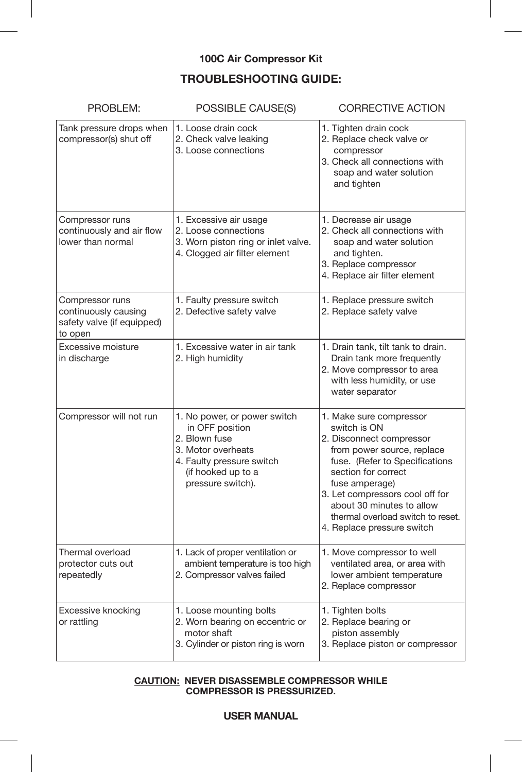# **TROUBLESHOOTING GUIDE:**

| PROBLEM:                                                                         | POSSIBLE CAUSE(S)                                                                                                                                              | <b>CORRECTIVE ACTION</b>                                                                                                                                                                                                                                                                                        |  |
|----------------------------------------------------------------------------------|----------------------------------------------------------------------------------------------------------------------------------------------------------------|-----------------------------------------------------------------------------------------------------------------------------------------------------------------------------------------------------------------------------------------------------------------------------------------------------------------|--|
| Tank pressure drops when<br>compressor(s) shut off                               | 1. Loose drain cock<br>2. Check valve leaking<br>3. Loose connections                                                                                          | 1. Tighten drain cock<br>2. Replace check valve or<br>compressor<br>3. Check all connections with<br>soap and water solution<br>and tighten                                                                                                                                                                     |  |
| Compressor runs<br>continuously and air flow<br>lower than normal                | 1. Excessive air usage<br>2. Loose connections<br>3. Worn piston ring or inlet valve.<br>4. Clogged air filter element                                         | 1. Decrease air usage<br>2. Check all connections with<br>soap and water solution<br>and tighten.<br>3. Replace compressor<br>4. Replace air filter element                                                                                                                                                     |  |
| Compressor runs<br>continuously causing<br>safety valve (if equipped)<br>to open | 1. Faulty pressure switch<br>2. Defective safety valve                                                                                                         | 1. Replace pressure switch<br>2. Replace safety valve                                                                                                                                                                                                                                                           |  |
| Excessive moisture<br>in discharge                                               | 1. Excessive water in air tank<br>2. High humidity                                                                                                             | 1. Drain tank, tilt tank to drain.<br>Drain tank more frequently<br>2. Move compressor to area<br>with less humidity, or use<br>water separator                                                                                                                                                                 |  |
| Compressor will not run                                                          | 1. No power, or power switch<br>in OFF position<br>2. Blown fuse<br>3. Motor overheats<br>4. Faulty pressure switch<br>(if hooked up to a<br>pressure switch). | 1. Make sure compressor<br>switch is ON<br>2. Disconnect compressor<br>from power source, replace<br>fuse. (Refer to Specifications<br>section for correct<br>fuse amperage)<br>3. Let compressors cool off for<br>about 30 minutes to allow<br>thermal overload switch to reset.<br>4. Replace pressure switch |  |
| Thermal overload<br>protector cuts out<br>repeatedly                             | 1. Lack of proper ventilation or<br>ambient temperature is too high<br>2. Compressor valves failed                                                             | 1. Move compressor to well<br>ventilated area, or area with<br>lower ambient temperature<br>2. Replace compressor                                                                                                                                                                                               |  |
| Excessive knocking<br>or rattling                                                | 1. Loose mounting bolts<br>2. Worn bearing on eccentric or<br>motor shaft<br>3. Cylinder or piston ring is worn                                                | 1. Tighten bolts<br>2. Replace bearing or<br>piston assembly<br>3. Replace piston or compressor                                                                                                                                                                                                                 |  |

#### **CAUTION: NEVER DISASSEMBLE COMPRESSOR WHILE COMPRESSOR IS PRESSURIZED.**